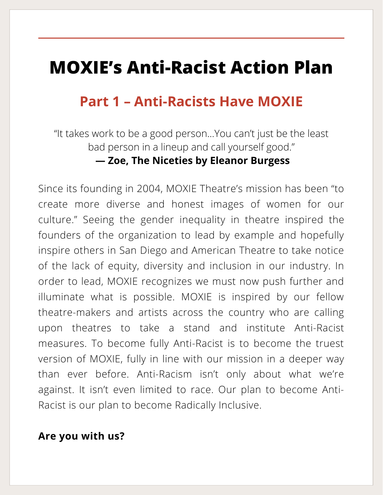## **MOXIE's Anti-Racist Action Plan**

### **Part 1 – Anti-Racists Have MOXIE**

"It takes work to be a good person…You can't just be the least bad person in a lineup and call yourself good."

#### **— Zoe, The Niceties by Eleanor Burgess**

Since its founding in 2004, MOXIE Theatre's mission has been "to create more diverse and honest images of women for our culture." Seeing the gender inequality in theatre inspired the founders of the organization to lead by example and hopefully inspire others in San Diego and American Theatre to take notice of the lack of equity, diversity and inclusion in our industry. In order to lead, MOXIE recognizes we must now push further and illuminate what is possible. MOXIE is inspired by our fellow theatre-makers and artists across the country who are calling upon theatres to take a stand and institute Anti-Racist measures. To become fully Anti-Racist is to become the truest version of MOXIE, fully in line with our mission in a deeper way than ever before. Anti-Racism isn't only about what we're against. It isn't even limited to race. Our plan to become Anti-Racist is our plan to become Radically Inclusive.

#### **Are you with us?**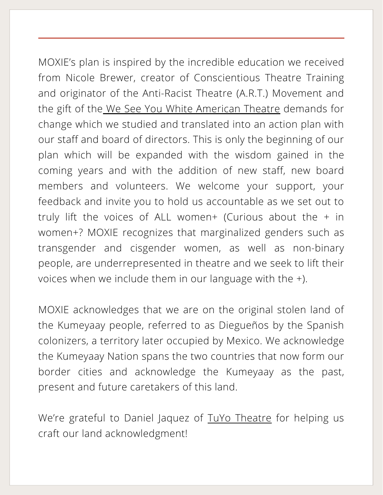MOXIE's plan is inspired by the incredible education we received from Nicole Brewer, creator of Conscientious Theatre Training and originator of the Anti-Racist Theatre (A.R.T.) Movement and the gift of the We See You White [American](https://www.weseeyouwat.com/) Theatre demands for change which we studied and translated into an action plan with our staff and board of directors. This is only the beginning of our plan which will be expanded with the wisdom gained in the coming years and with the addition of new staff, new board members and volunteers. We welcome your support, your feedback and invite you to hold us accountable as we set out to truly lift the voices of ALL women+ (Curious about the  $+$  in women+? MOXIE recognizes that marginalized genders such as transgender and cisgender women, as well as non-binary people, are underrepresented in theatre and we seek to lift their voices when we include them in our language with the +).

MOXIE acknowledges that we are on the original stolen land of the Kumeyaay people, referred to as Diegueños by the Spanish colonizers, a territory later occupied by Mexico. We acknowledge the Kumeyaay Nation spans the two countries that now form our border cities and acknowledge the Kumeyaay as the past, present and future caretakers of this land.

We're grateful to Daniel Jaquez of TuYo [Theatre](https://www.tuyotheatre.org/) for helping us craft our land acknowledgment!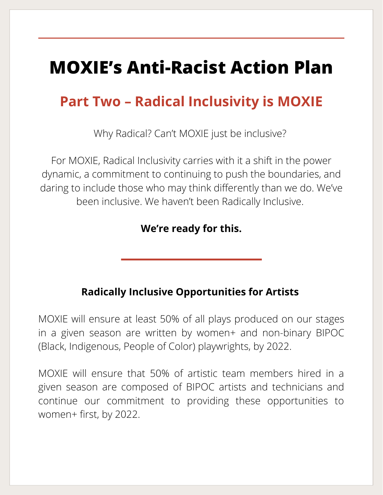# **MOXIE's Anti-Racist Action Plan**

## **Part Two – Radical Inclusivity is MOXIE**

Why Radical? Can't MOXIE just be inclusive?

For MOXIE, Radical Inclusivity carries with it a shift in the power dynamic, a commitment to continuing to push the boundaries, and daring to include those who may think differently than we do. We've been inclusive. We haven't been Radically Inclusive.

**We're ready for this.**

### **Radically Inclusive Opportunities for Artists**

MOXIE will ensure at least 50% of all plays produced on our stages in a given season are written by women+ and non-binary BIPOC (Black, Indigenous, People of Color) playwrights, by 2022.

MOXIE will ensure that 50% of artistic team members hired in a given season are composed of BIPOC artists and technicians and continue our commitment to providing these opportunities to women+ first, by 2022.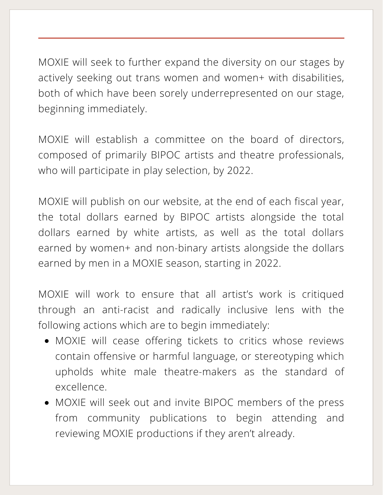MOXIE will seek to further expand the diversity on our stages by actively seeking out trans women and women+ with disabilities, both of which have been sorely underrepresented on our stage, beginning immediately.

MOXIE will establish a committee on the board of directors, composed of primarily BIPOC artists and theatre professionals, who will participate in play selection, by 2022.

MOXIE will publish on our website, at the end of each fiscal year, the total dollars earned by BIPOC artists alongside the total dollars earned by white artists, as well as the total dollars earned by women+ and non-binary artists alongside the dollars earned by men in a MOXIE season, starting in 2022.

MOXIE will work to ensure that all artist's work is critiqued through an anti-racist and radically inclusive lens with the following actions which are to begin immediately:

- MOXIE will cease offering tickets to critics whose reviews contain offensive or harmful language, or stereotyping which upholds white male theatre-makers as the standard of excellence.
- MOXIE will seek out and invite BIPOC members of the press from community publications to begin attending and reviewing MOXIE productions if they aren't already.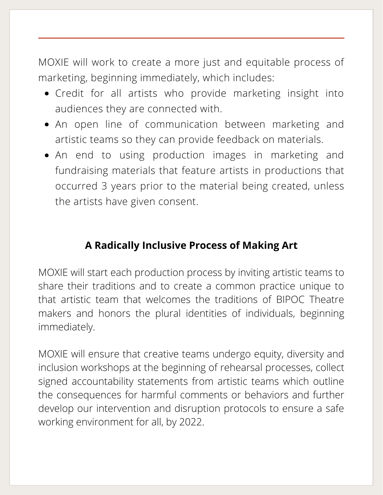MOXIE will work to create a more just and equitable process of marketing, beginning immediately, which includes:

- Credit for all artists who provide marketing insight into audiences they are connected with.
- An open line of communication between marketing and artistic teams so they can provide feedback on materials.
- An end to using production images in marketing and fundraising materials that feature artists in productions that occurred 3 years prior to the material being created, unless the artists have given consent.

### **A Radically Inclusive Process of Making Art**

MOXIE will start each production process by inviting artistic teams to share their traditions and to create a common practice unique to that artistic team that welcomes the traditions of BIPOC Theatre makers and honors the plural identities of individuals, beginning immediately.

MOXIE will ensure that creative teams undergo equity, diversity and inclusion workshops at the beginning of rehearsal processes, collect signed accountability statements from artistic teams which outline the consequences for harmful comments or behaviors and further develop our intervention and disruption protocols to ensure a safe working environment for all, by 2022.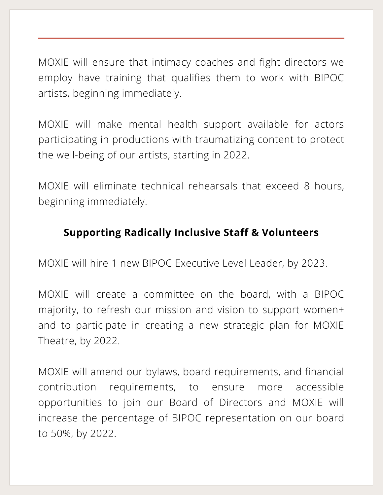MOXIE will ensure that intimacy coaches and fight directors we employ have training that qualifies them to work with BIPOC artists, beginning immediately.

MOXIE will make mental health support available for actors participating in productions with traumatizing content to protect the well-being of our artists, starting in 2022.

MOXIE will eliminate technical rehearsals that exceed 8 hours, beginning immediately.

### **Supporting Radically Inclusive Staff & Volunteers**

MOXIE will hire 1 new BIPOC Executive Level Leader, by 2023.

MOXIE will create a committee on the board, with a BIPOC majority, to refresh our mission and vision to support women+ and to participate in creating a new strategic plan for MOXIE Theatre, by 2022.

MOXIE will amend our bylaws, board requirements, and financial contribution requirements, to ensure more accessible opportunities to join our Board of Directors and MOXIE will increase the percentage of BIPOC representation on our board to 50%, by 2022.